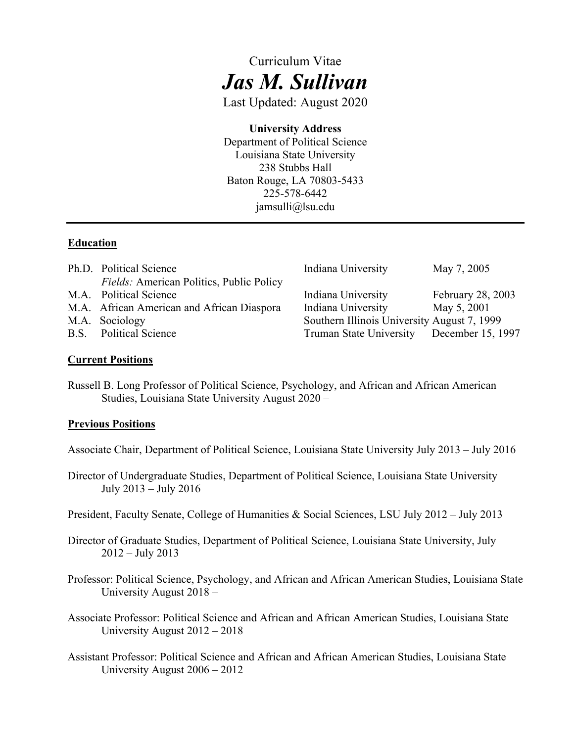# Curriculum Vitae *Jas M. Sullivan*

Last Updated: August 2020

# **University Address**

 238 Stubbs Hall Department of Political Science Louisiana State University Baton Rouge, LA 70803-5433 225-578-6442 [jamsulli@lsu.edu](mailto:jamsulli@lsu.edu)

#### **Education**

| Ph.D. Political Science                         | Indiana University                          | May 7, 2005       |
|-------------------------------------------------|---------------------------------------------|-------------------|
| <i>Fields:</i> American Politics, Public Policy |                                             |                   |
| M.A. Political Science                          | Indiana University                          | February 28, 2003 |
| M.A. African American and African Diaspora      | Indiana University                          | May 5, 2001       |
| M.A. Sociology                                  | Southern Illinois University August 7, 1999 |                   |
| B.S. Political Science                          | Truman State University December 15, 1997   |                   |

#### **Current Positions**

 Studies, Louisiana State University August 2020 – Russell B. Long Professor of Political Science, Psychology, and African and African American

#### **Previous Positions**

Associate Chair, Department of Political Science, Louisiana State University July 2013 – July 2016

- July 2013 July 2016 Director of Undergraduate Studies, Department of Political Science, Louisiana State University
- President, Faculty Senate, College of Humanities & Social Sciences, LSU July 2012 July 2013
- Director of Graduate Studies, Department of Political Science, Louisiana State University, July 2012 – July 2013
- University August 2018 Professor: Political Science, Psychology, and African and African American Studies, Louisiana State
- University August 2012 2018 Associate Professor: Political Science and African and African American Studies, Louisiana State
- University August 2006 2012 Assistant Professor: Political Science and African and African American Studies, Louisiana State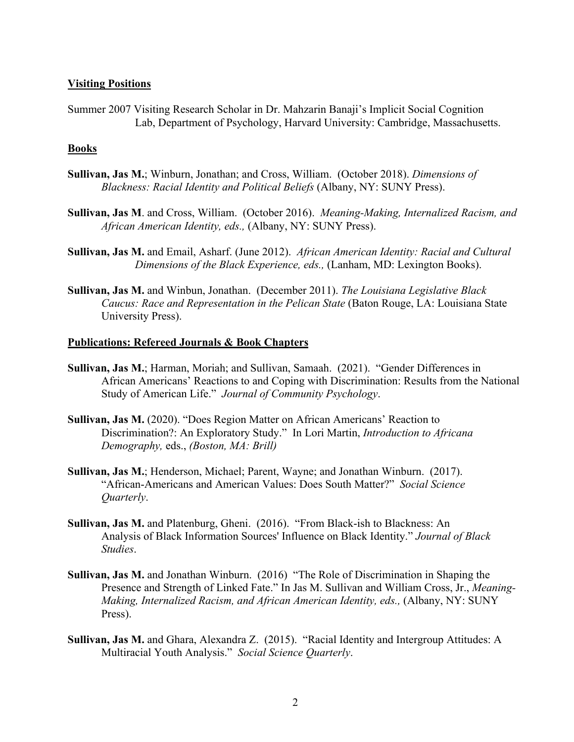#### **Visiting Positions**

Summer 2007 Visiting Research Scholar in Dr. Mahzarin Banaji's Implicit Social Cognition Lab, Department of Psychology, Harvard University: Cambridge, Massachusetts.

#### **Books**

- **Sullivan, Jas M.**; Winburn, Jonathan; and Cross, William. (October 2018). *Dimensions of Blackness: Racial Identity and Political Beliefs* (Albany, NY: SUNY Press).
- **Sullivan, Jas M**. and Cross, William. (October 2016). *Meaning-Making, Internalized Racism, and African American Identity, eds.,* (Albany, NY: SUNY Press).
- **Sullivan, Jas M.** and Email, Asharf. (June 2012). *African American Identity: Racial and Cultural Dimensions of the Black Experience, eds., (Lanham, MD: Lexington Books).*
- **Sullivan, Jas M.** and Winbun, Jonathan. (December 2011). The Louisiana Legislative Black **Sullivan, Jas M.** and Winbun, Jonathan. (December 2011). *The Louisiana Legislative Black Caucus: Race and Representation in the Pelican State* (Baton Rouge, LA: Louisiana State University Press).

#### **Publications: Refereed Journals & Book Chapters**

- Study of American Life." *Journal of Community Psychology*. **Sullivan, Jas M.**; Harman, Moriah; and Sullivan, Samaah. (2021). "Gender Differences in African Americans' Reactions to and Coping with Discrimination: Results from the National
- **Sullivan, Jas M.** (2020). "Does Region Matter on African Americans' Reaction to Discrimination?: An Exploratory Study." In Lori Martin, *Introduction to Africana Demography,* eds., *(Boston, MA: Brill)*
- **Sullivan, Jas M.**; Henderson, Michael; Parent, Wayne; and Jonathan Winburn. (2017). "African-Americans and American Values: Does South Matter?" *Social Science Quarterly*.
- **Sullivan, Jas M.** and Platenburg, Gheni. (2016). "From Black-ish to Blackness: An Analysis of Black Information Sources' Influence on Black Identity." *Journal of Black Studies*.
- Sullivan, Jas M. and Jonathan Winburn. (2016) "The Role of Discrimination in Shaping the *Making, Internalized Racism, and African American Identity, eds.,* (Albany, NY: SUNY Presence and Strength of Linked Fate." In Jas M. Sullivan and William Cross, Jr., *Meaning-*Press).
- **Sullivan, Jas M.** and Ghara, Alexandra Z. (2015). "Racial Identity and Intergroup Attitudes: A Multiracial Youth Analysis." *Social Science Quarterly*. Multiracial Youth Analysis." Social Science Quarterly.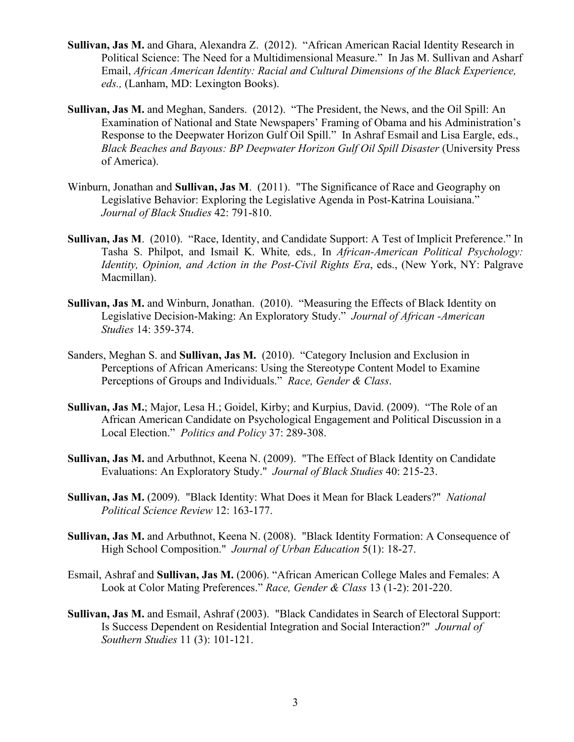- **Sullivan, Jas M.** and Ghara, Alexandra Z. (2012). "African American Racial Identity Research in Political Science: The Need for a Multidimensional Measure." In Jas M. Sullivan and Asharf Email, *African American Identity: Racial and Cultural Dimensions of the Black Experience, eds.,* (Lanham, MD: Lexington Books).
- **Sullivan, Jas M.** and Meghan, Sanders. (2012). "The President, the News, and the Oil Spill: An Examination of National and State Newspapers' Framing of Obama and his Administration's Response to the Deepwater Horizon Gulf Oil Spill." In Ashraf Esmail and Lisa Eargle, eds., *Black Beaches and Bayous: BP Deepwater Horizon Gulf Oil Spill Disaster* (University Press of America).
- Legislative Behavior: Exploring the Legislative Agenda in Post-Katrina Louisiana." Winburn, Jonathan and **Sullivan, Jas M**. (2011). "The Significance of Race and Geography on *Journal of Black Studies* 42: 791-810.
- Identity, Opinion, and Action in the Post-Civil Rights Era, eds., (New York, NY: Palgrave **Sullivan, Jas M**. (2010). "Race, Identity, and Candidate Support: A Test of Implicit Preference." In Tasha S. Philpot, and Ismail K. White*,* eds*.,* In *African-American Political Psychology:*  Macmillan).
- **Sullivan, Jas M.** and Winburn, Jonathan. (2010). "Measuring the Effects of Black Identity on Legislative Decision-Making: An Exploratory Study." *Journal of African -American Studies* 14: 359-374.
- Sanders, Meghan S. and **Sullivan, Jas M.** (2010). "Category Inclusion and Exclusion in Perceptions of African Americans: Using the Stereotype Content Model to Examine Perceptions of Groups and Individuals." *Race, Gender & Class*. Perceptions of Groups and Individuals." Race, Gender & Class.
- Local Election." *Politics and Policy* 37: 289-308. **Sullivan, Jas M.**; Major, Lesa H.; Goidel, Kirby; and Kurpius, David. (2009). "The Role of an African American Candidate on Psychological Engagement and Political Discussion in a
- Sullivan, Jas M. and Arbuthnot, Keena N. (2009). "The Effect of Black Identity on Candidate **Sullivan, Jas M.** and Arbuthnot, Keena N. (2009). "The Effect of Black Identity on Candidate Evaluations: An Exploratory Study." *Journal of Black Studies* 40: 215-23.
- **Sullivan, Jas M.** (2009). "Black Identity: What Does it Mean for Black Leaders?" *National Political Science Review* 12: 163-177.
- **Sullivan, Jas M.** and Arbuthnot, Keena N. (2008). "Black Identity Formation: A Consequence of High School Composition." *Journal of Urban Education* 5(1): 18-27.
- Esmail, Ashraf and **Sullivan, Jas M.** (2006). "African American College Males and Females: A Look at Color Mating Preferences." *Race, Gender & Class* 13 (1-2): 201-220. Look at Color Mating Preferences." Race, Gender & Class 13 (1-2): 201-220.
- **Sullivan, Jas M.** and Esmail, Ashraf (2003). "Black Candidates in Search of Electoral Support: Is Success Dependent on Residential Integration and Social Interaction?" *Journal of*  Is Success Dependent on Residential Integration and Social Interaction?" Journal of *Southern Studies* 11 (3): 101-121.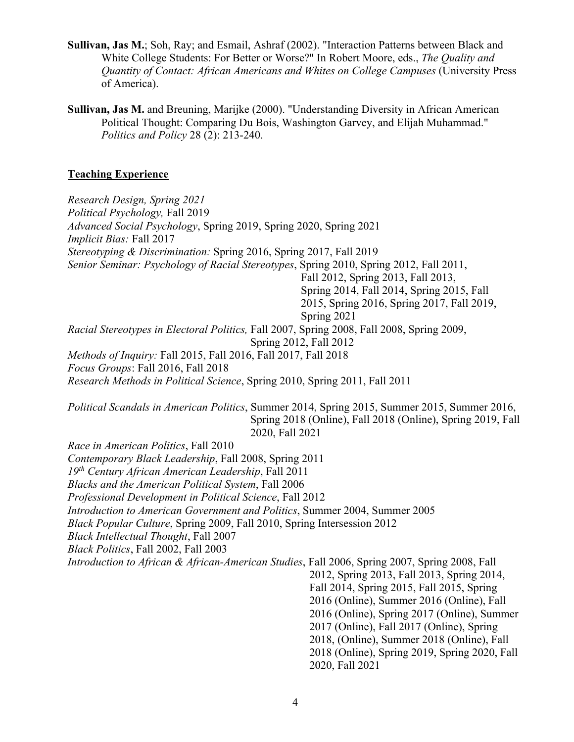- **Sullivan, Jas M.**; Soh, Ray; and Esmail, Ashraf (2002). "Interaction Patterns between Black and White College Students: For Better or Worse?" In Robert Moore, eds., *The Quality and Quantity of Contact: African Americans and Whites on College Campuses* (University Press of America).
- *Politics and Policy* 28 (2): 213-240. **Sullivan, Jas M.** and Breuning, Marijke (2000). "Understanding Diversity in African American Political Thought: Comparing Du Bois, Washington Garvey, and Elijah Muhammad."

#### **Teaching Experience**

Spring 2014, Fall 2014, Spring 2015, Fall *Methods of Inquiry:* Fall 2015, Fall 2016, Fall 2017, Fall 2018 *Research Design, Spring 2021 Political Psychology,* Fall 2019 *Advanced Social Psychology*, Spring 2019, Spring 2020, Spring 2021 *Implicit Bias:* Fall 2017 *Stereotyping & Discrimination:* Spring 2016, Spring 2017, Fall 2019 *Senior Seminar: Psychology of Racial Stereotypes*, Spring 2010, Spring 2012, Fall 2011, Fall 2012, Spring 2013, Fall 2013, Spring 2014, Fall 2014, Spring 2015, Fall 2015, Spring 2016, Spring 2017, Fall 2019, Spring 2021 *Racial Stereotypes in Electoral Politics,* Fall 2007, Spring 2008, Fall 2008, Spring 2009, Spring 2012, Fall 2012 *Focus Groups*: Fall 2016, Fall 2018 *Research Methods in Political Science*, Spring 2010, Spring 2011, Fall 2011

*Political Scandals in American Politics*, Summer 2014, Spring 2015, Summer 2015, Summer 2016, Spring 2018 (Online), Fall 2018 (Online), Spring 2019, Fall 2020, Fall 2021

 *Contemporary Black Leadership*, Fall 2008, Spring 2011 *Introduction to African & African-American Studies*, Fall 2006, Spring 2007, Spring 2008, Fall 2012, Spring 2013, Fall 2013, Spring 2014, *Race in American Politics*, Fall 2010 *19th Century African American Leadership*, Fall 2011 *Blacks and the American Political System*, Fall 2006 *Professional Development in Political Science*, Fall 2012 *Introduction to American Government and Politics*, Summer 2004, Summer 2005 *Black Popular Culture*, Spring 2009, Fall 2010, Spring Intersession 2012 *Black Intellectual Thought*, Fall 2007 *Black Politics*, Fall 2002, Fall 2003 Fall 2014, Spring 2015, Fall 2015, Spring 2016 (Online), Summer 2016 (Online), Fall 2016 (Online), Spring 2017 (Online), Summer

 2017 (Online), Fall 2017 (Online), Spring 2018 (Online), Spring 2019, Spring 2020, Fall 2020, Fall 2021 2018, (Online), Summer 2018 (Online), Fall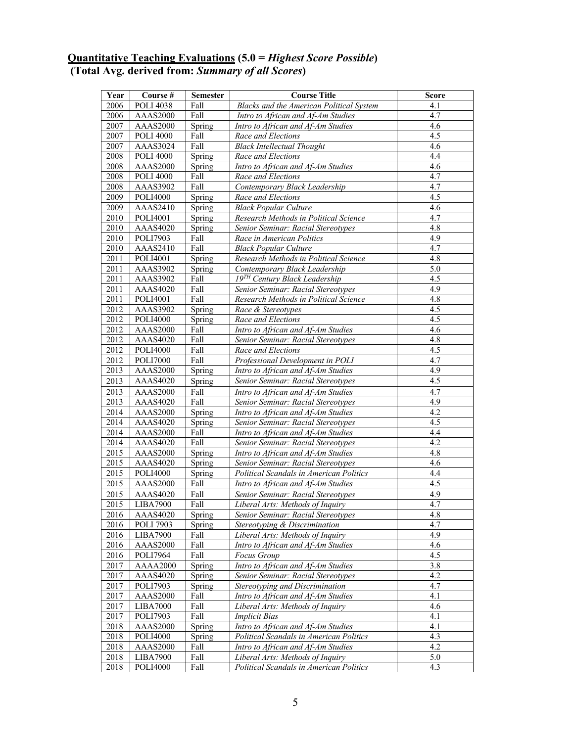#### **Quantitative Teaching Evaluations (5.0 =** *Highest Score Possible***) (Total Avg. derived from:** *Summary of all Scores***)**

| Year              | Course #                    | <b>Semester</b> | <b>Course Title</b>                                               | <b>Score</b>     |
|-------------------|-----------------------------|-----------------|-------------------------------------------------------------------|------------------|
| 2006              | <b>POLI 4038</b>            | Fall            | Blacks and the American Political System                          | 4.1              |
| 2006              | AAAS2000                    | Fall            | Intro to African and Af-Am Studies                                | 4.7              |
| 2007              | AAAS2000                    | Spring          | Intro to African and Af-Am Studies                                | 4.6              |
| 2007              | <b>POLI 4000</b>            | Fall            | Race and Elections                                                | 4.5              |
| 2007              | AAAS3024                    | Fall            | <b>Black Intellectual Thought</b>                                 | 4.6              |
| 2008              | <b>POLI 4000</b>            | Spring          | Race and Elections                                                | 4.4              |
| 2008              | <b>AAAS2000</b>             | Spring          | Intro to African and Af-Am Studies                                | 4.6              |
| 2008              | <b>POLI 4000</b>            | Fall            | Race and Elections                                                | 4.7              |
| 2008              | AAAS3902                    | Fall            | Contemporary Black Leadership                                     | 4.7              |
| 2009              | <b>POLI4000</b>             | Spring          | Race and Elections                                                | 4.5              |
| 2009              | AAAS2410                    | Spring          | <b>Black Popular Culture</b>                                      | 4.6              |
| 2010              | POLI4001                    | Spring          | Research Methods in Political Science                             | 4.7              |
| 2010              | AAAS4020                    | Spring          | Senior Seminar: Racial Stereotypes                                | 4.8              |
| 2010              | POLI7903                    | Fall            | Race in American Politics                                         | 4.9              |
| 2010              | AAAS2410                    | Fall            | <b>Black Popular Culture</b>                                      | 4.7              |
| 2011              | POLI4001                    | Spring          | Research Methods in Political Science                             | 4.8              |
| 2011              | AAAS3902                    | Spring          | Contemporary Black Leadership                                     | 5.0              |
| 2011              | AAAS3902                    | Fall            | 19TH Century Black Leadership                                     | $\overline{4.5}$ |
| 2011              | <b>AAAS4020</b>             | Fall            | Senior Seminar: Racial Stereotypes                                | 4.9              |
| $\overline{20}11$ | <b>POLI4001</b>             | Fall            | Research Methods in Political Science                             | 4.8              |
| 2012              | AAAS3902                    | Spring          | Race & Stereotypes                                                | 4.5              |
| 2012              | <b>POLI4000</b>             | Spring          | Race and Elections                                                | $\overline{4.5}$ |
| 2012              | AAAS2000                    | Fall            | Intro to African and Af-Am Studies                                | 4.6              |
| 2012              | AAAS4020                    | Fall            | Senior Seminar: Racial Stereotypes                                | 4.8              |
| 2012              | <b>POLI4000</b>             | Fall            | Race and Elections                                                | 4.5              |
| 2012              | <b>POLI7000</b>             | Fall            | Professional Development in POLI                                  | 4.7              |
| 2013              | AAAS2000                    | Spring          | Intro to African and Af-Am Studies                                | 4.9              |
| 2013              | AAAS4020                    | Spring          | Senior Seminar: Racial Stereotypes                                | 4.5              |
| 2013              | <b>AAAS2000</b>             | Fall            | Intro to African and Af-Am Studies                                | 4.7              |
| 2013              | AAAS4020                    | Fall            | Senior Seminar: Racial Stereotypes                                | 4.9              |
| 2014              | <b>AAAS2000</b>             | Spring          | Intro to African and Af-Am Studies                                | 4.2              |
| 2014              | <b>AAAS4020</b>             | Spring          | Senior Seminar: Racial Stereotypes                                | 4.5              |
| 2014              | AAAS2000                    | Fall            | Intro to African and Af-Am Studies                                | 4.4              |
| 2014              | AAAS4020                    | Fall            | Senior Seminar: Racial Stereotypes                                | 4.2              |
| 2015              | AAAS2000                    | Spring          | Intro to African and Af-Am Studies                                | 4.8              |
| 2015              | AAAS4020                    | Spring          | Senior Seminar: Racial Stereotypes                                | 4.6              |
| 2015              | <b>POLI4000</b>             | Spring          | Political Scandals in American Politics                           | 4.4              |
| 2015              | AAAS2000                    | Fall            | Intro to African and Af-Am Studies                                | 4.5              |
| 2015              | <b>AAAS4020</b>             | Fall            | Senior Seminar: Racial Stereotypes                                | 4.9              |
| 2015              | LIBA7900                    | Fall            | Liberal Arts: Methods of Inquiry                                  | 4.7              |
| 2016              | AAAS4020                    | Spring          | Senior Seminar: Racial Stereotypes                                | 4.8              |
| 2016              | <b>POLI 7903</b>            | Spring          | Stereotyping & Discrimination<br>Liberal Arts: Methods of Inquiry | 4.7<br>4.9       |
| 2016<br>2016      | <b>LIBA7900</b><br>AAAS2000 | Fall<br>Fall    | Intro to African and Af-Am Studies                                | 4.6              |
|                   | POLI7964                    | Fall            |                                                                   | 4.5              |
| 2016<br>2017      | <b>AAAA2000</b>             | Spring          | Focus Group<br>Intro to African and Af-Am Studies                 | $3.\overline{8}$ |
| 2017              | AAAS4020                    | Spring          | Senior Seminar: Racial Stereotypes                                | 4.2              |
| 2017              | POLI7903                    |                 | Stereotyping and Discrimination                                   | 4.7              |
| 2017              | AAAS2000                    | Spring<br>Fall  | Intro to African and Af-Am Studies                                | 4.1              |
| 2017              | <b>LIBA7000</b>             | Fall            | Liberal Arts: Methods of Inquiry                                  | 4.6              |
| 2017              | <b>POLI7903</b>             | Fall            | <b>Implicit Bias</b>                                              | 4.1              |
| 2018              | AAAS2000                    | Spring          | Intro to African and Af-Am Studies                                | 4.1              |
| 2018              | <b>POLI4000</b>             | Spring          | Political Scandals in American Politics                           | 4.3              |
| 2018              | AAAS2000                    | Fall            | Intro to African and Af-Am Studies                                | 4.2              |
| 2018              | <b>LIBA7900</b>             | Fall            | Liberal Arts: Methods of Inquiry                                  | 5.0              |
| 2018              | <b>POLI4000</b>             | Fall            | Political Scandals in American Politics                           | 4.3              |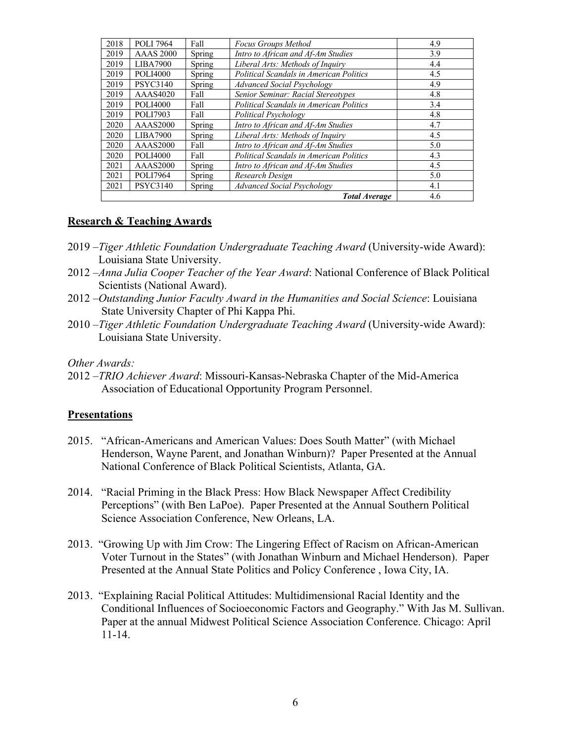| 2018 | <b>POLI 7964</b> | Fall   | <b>Focus Groups Method</b>                     | 4.9 |
|------|------------------|--------|------------------------------------------------|-----|
| 2019 | <b>AAAS 2000</b> | Spring | Intro to African and Af-Am Studies             | 3.9 |
| 2019 | LIBA7900         | Spring | Liberal Arts: Methods of Inquiry               | 4.4 |
| 2019 | <b>POLI4000</b>  | Spring | Political Scandals in American Politics        | 4.5 |
| 2019 | <b>PSYC3140</b>  | Spring | <b>Advanced Social Psychology</b>              | 4.9 |
| 2019 | AAAS4020         | Fall   | Senior Seminar: Racial Stereotypes             | 4.8 |
| 2019 | <b>POLI4000</b>  | Fall   | <b>Political Scandals in American Politics</b> | 3.4 |
| 2019 | <b>POLI7903</b>  | Fall   | Political Psychology                           | 4.8 |
| 2020 | AAAS2000         | Spring | Intro to African and Af-Am Studies             | 4.7 |
| 2020 | <b>LIBA7900</b>  | Spring | Liberal Arts: Methods of Inquiry               | 4.5 |
| 2020 | <b>AAAS2000</b>  | Fall   | Intro to African and Af-Am Studies             | 5.0 |
| 2020 | <b>POLI4000</b>  | Fall   | Political Scandals in American Politics        | 4.3 |
| 2021 | <b>AAAS2000</b>  | Spring | Intro to African and Af-Am Studies             | 4.5 |
| 2021 | <b>POLI7964</b>  | Spring | Research Design                                | 5.0 |
| 2021 | <b>PSYC3140</b>  | Spring | <b>Advanced Social Psychology</b>              | 4.1 |
|      | 4.6              |        |                                                |     |

#### **Research & Teaching Awards**

- 2019 –*Tiger Athletic Foundation Undergraduate Teaching Award* (University-wide Award): Louisiana State University.
- 2012 –*Anna Julia Cooper Teacher of the Year Award*: National Conference of Black Political Scientists (National Award).
- 2012 –*Outstanding Junior Faculty Award in the Humanities and Social Science*: Louisiana State University Chapter of Phi Kappa Phi.
- 2010 –*Tiger Athletic Foundation Undergraduate Teaching Award* (University-wide Award): Louisiana State University.

*Other Awards:* 

2012 –*TRIO Achiever Award*: Missouri-Kansas-Nebraska Chapter of the Mid-America Association of Educational Opportunity Program Personnel.

#### **Presentations**

- 2015. "African-Americans and American Values: Does South Matter" (with Michael Henderson, Wayne Parent, and Jonathan Winburn)? Paper Presented at the Annual National Conference of Black Political Scientists, Atlanta, GA.
- 2014. "Racial Priming in the Black Press: How Black Newspaper Affect Credibility Perceptions" (with Ben LaPoe). Paper Presented at the Annual Southern Political Science Association Conference, New Orleans, LA.
- 2013. "Growing Up with Jim Crow: The Lingering Effect of Racism on African-American Voter Turnout in the States" (with Jonathan Winburn and Michael Henderson). Paper Presented at the Annual State Politics and Policy Conference , Iowa City, IA.
- 2013. "Explaining Racial Political Attitudes: Multidimensional Racial Identity and the Conditional Influences of Socioeconomic Factors and Geography." With Jas M. Sullivan. Paper at the annual Midwest Political Science Association Conference. Chicago: April 11-14.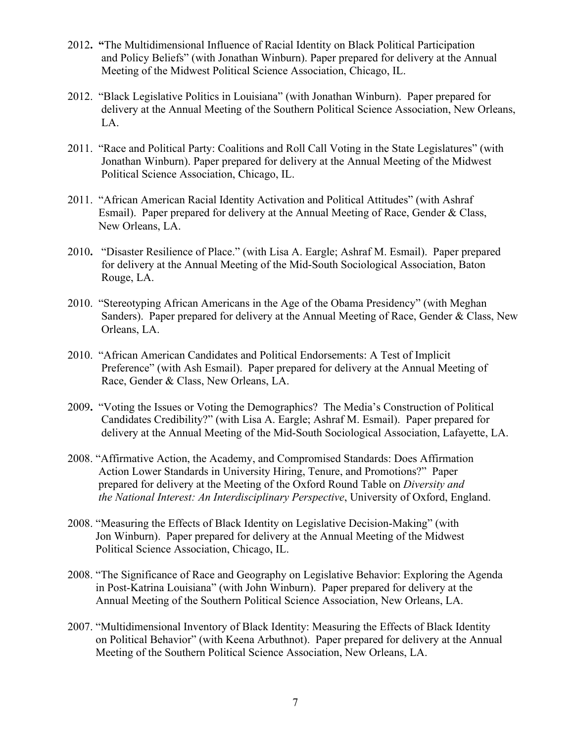- 2012**. "**The Multidimensional Influence of Racial Identity on Black Political Participation and Policy Beliefs" (with Jonathan Winburn). Paper prepared for delivery at the Annual Meeting of the Midwest Political Science Association, Chicago, IL.
- 2012. "Black Legislative Politics in Louisiana" (with Jonathan Winburn). Paper prepared for delivery at the Annual Meeting of the Southern Political Science Association, New Orleans, LA.
- 2011. "Race and Political Party: Coalitions and Roll Call Voting in the State Legislatures" (with Jonathan Winburn). Paper prepared for delivery at the Annual Meeting of the Midwest Political Science Association, Chicago, IL.
- 2011. "African American Racial Identity Activation and Political Attitudes" (with Ashraf Esmail). Paper prepared for delivery at the Annual Meeting of Race, Gender & Class, New Orleans, LA.
- 2010**.** "Disaster Resilience of Place." (with Lisa A. Eargle; Ashraf M. Esmail). Paper prepared for delivery at the Annual Meeting of the Mid-South Sociological Association, Baton Rouge, LA.
- 2010. "Stereotyping African Americans in the Age of the Obama Presidency" (with Meghan Sanders). Paper prepared for delivery at the Annual Meeting of Race, Gender & Class, New Orleans, LA.
- 2010. "African American Candidates and Political Endorsements: A Test of Implicit 2010. "African American Candidates and Political Endorsements: A Test of Implicit Preference" (with Ash Esmail). Paper prepared for delivery at the Annual Meeting of Race, Gender & Class, New Orleans, LA.
- <sup>2009</sup>**.** "Voting the Issues or Voting the Demographics? The Media's Construction of Political Candidates Credibility?" (with Lisa A. Eargle; Ashraf M. Esmail). Paper prepared for delivery at the Annual Meeting of the Mid-South Sociological Association, Lafayette, LA.
- 2008. "Affirmative Action, the Academy, and Compromised Standards: Does Affirmation Action Lower Standards in University Hiring, Tenure, and Promotions?" Paper prepared for delivery at the Meeting of the Oxford Round Table on *Diversity and the National Interest: An Interdisciplinary Perspective*, University of Oxford, England.
- 2008. "Measuring the Effects of Black Identity on Legislative Decision-Making" (with Jon Winburn). Paper prepared for delivery at the Annual Meeting of the Midwest Political Science Association, Chicago, IL.
- 2008. "The Significance of Race and Geography on Legislative Behavior: Exploring the Agenda in Post-Katrina Louisiana" (with John Winburn). Paper prepared for delivery at the Annual Meeting of the Southern Political Science Association, New Orleans, LA.
- 2007. "Multidimensional Inventory of Black Identity: Measuring the Effects of Black Identity on Political Behavior" (with Keena Arbuthnot). Paper prepared for delivery at the Annual Meeting of the Southern Political Science Association, New Orleans, LA.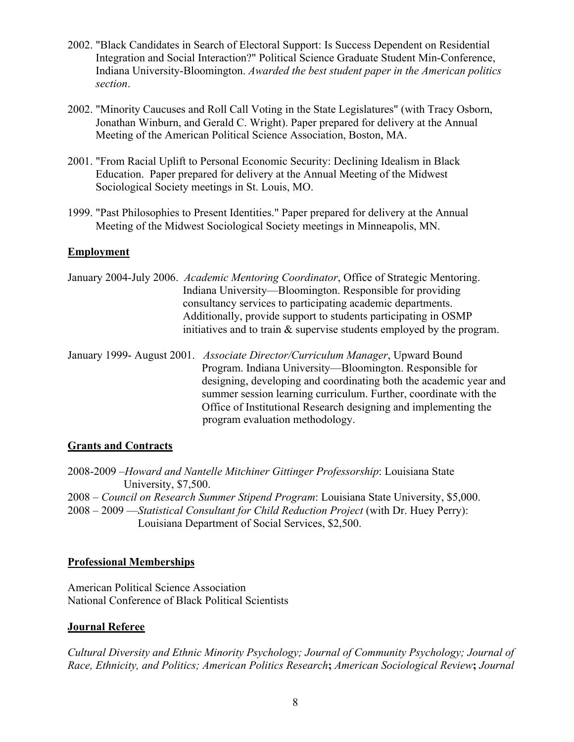- 2002. "Black Candidates in Search of Electoral Support: Is Success Dependent on Residential Integration and Social Interaction?" Political Science Graduate Student Min-Conference, Indiana University-Bloomington. *Awarded the best student paper in the American politics section*.
- 2002. "Minority Caucuses and Roll Call Voting in the State Legislatures" (with Tracy Osborn, Jonathan Winburn, and Gerald C. Wright). Paper prepared for delivery at the Annual Meeting of the American Political Science Association, Boston, MA.
- 2001. "From Racial Uplift to Personal Economic Security: Declining Idealism in Black Education. Paper prepared for delivery at the Annual Meeting of the Midwest Sociological Society meetings in St. Louis, MO.
- 1999. "Past Philosophies to Present Identities." Paper prepared for delivery at the Annual Meeting of the Midwest Sociological Society meetings in Minneapolis, MN.

# **Employment**

Additionally, provide support to students participating in OSMP January 2004-July 2006. *Academic Mentoring Coordinator*, Office of Strategic Mentoring. Indiana University—Bloomington. Responsible for providing consultancy services to participating academic departments. initiatives and to train  $\&$  supervise students employed by the program.

 January 1999- August 2001. *Associate Director/Curriculum Manager*, Upward Bound Office of Institutional Research designing and implementing the program evaluation methodology. Program. Indiana University—Bloomington. Responsible for designing, developing and coordinating both the academic year and summer session learning curriculum. Further, coordinate with the

# **Grants and Contracts**

 2008-2009 –*Howard and Nantelle Mitchiner Gittinger Professorship*: Louisiana State University, \$7,500. 2008 – *Council on Research Summer Stipend Program*: Louisiana State University, \$5,000.

 2008 – 2009 —*Statistical Consultant for Child Reduction Project* (with Dr. Huey Perry): Louisiana Department of Social Services, \$2,500.

# **Professional Memberships**

 American Political Science Association National Conference of Black Political Scientists

# **Journal Referee**

*Cultural Diversity and Ethnic Minority Psychology; Journal of Community Psychology; Journal of Race, Ethnicity, and Politics; American Politics Research***;** *American Sociological Review***;** *Journal*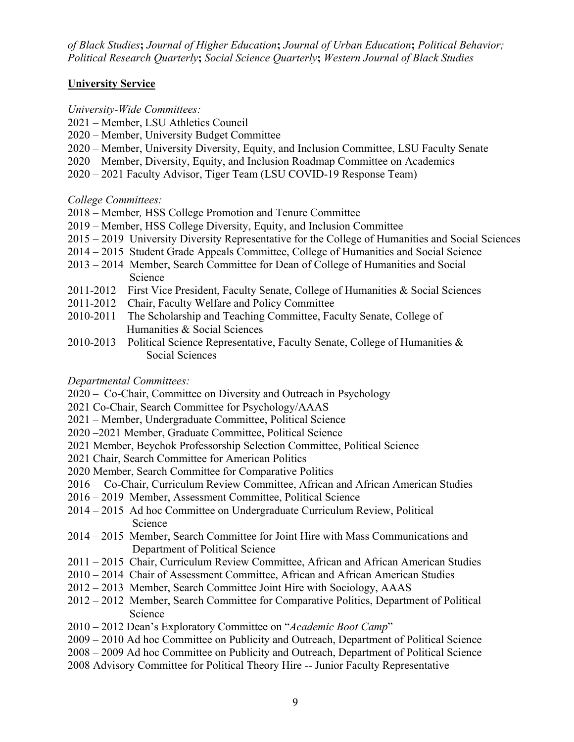*of Black Studies***;** *Journal of Higher Education***;** *Journal of Urban Education***;** *Political Behavior; Political Research Quarterly***;** *Social Science Quarterly***;** *Western Journal of Black Studies* 

#### **University Service**

#### *University-Wide Committees:*

- 2021 Member, LSU Athletics Council
- 2020 Member, University Budget Committee
- 2020 Member, University Diversity, Equity, and Inclusion Committee, LSU Faculty Senate
- 2020 Member, Diversity, Equity, and Inclusion Roadmap Committee on Academics
- 2020 2021 Faculty Advisor, Tiger Team (LSU COVID-19 Response Team)

# *College Committees:*

- 2018 Member*,* HSS College Promotion and Tenure Committee
- 2019 Member, HSS College Diversity, Equity, and Inclusion Committee
- 2015 2019 University Diversity Representative for the College of Humanities and Social Sciences
- 2014 2015 Student Grade Appeals Committee, College of Humanities and Social Science
- 2013 2014 Member, Search Committee for Dean of College of Humanities and Social Science
- 2011-2012 First Vice President, Faculty Senate, College of Humanities & Social Sciences
- 2011-2012 Chair, Faculty Welfare and Policy Committee
- 2010-2011 The Scholarship and Teaching Committee, Faculty Senate, College of Humanities & Social Sciences
- 2010-2013 Political Science Representative, Faculty Senate, College of Humanities & Social Sciences

# *Departmental Committees:*

2020 – Co-Chair, Committee on Diversity and Outreach in Psychology

- 2021 Co-Chair, Search Committee for Psychology/AAAS
- 2021 Member, Undergraduate Committee, Political Science
- 2020 -2021 Member, Graduate Committee, Political Science
- 2021 Member, Beychok Professorship Selection Committee, Political Science
- 2021 Chair, Search Committee for American Politics
- 2020 Member, Search Committee for Comparative Politics
- 2020 Member, Search Committee for Comparative Politics 2016 Co-Chair, Curriculum Review Committee, African and African American Studies
- 2016 2019 Member, Assessment Committee, Political Science
- 2014 2015 Ad hoc Committee on Undergraduate Curriculum Review, Political Science
- 2014 2015 Member, Search Committee for Joint Hire with Mass Communications and Department of Political Science
- 2011 2015 Chair, Curriculum Review Committee, African and African American Studies
- 2010 2014 Chair of Assessment Committee, African and African American Studies
- 2012 2013 Member, Search Committee Joint Hire with Sociology, AAAS
- 2012 2012 Member, Search Committee for Comparative Politics, Department of Political Science
- 2010 2012 Dean's Exploratory Committee on "*Academic Boot Camp*"
- 2009 2010 Ad hoc Committee on Publicity and Outreach, Department of Political Science
- 2008 2009 Ad hoc Committee on Publicity and Outreach, Department of Political Science
- 2008 Advisory Committee for Political Theory Hire -- Junior Faculty Representative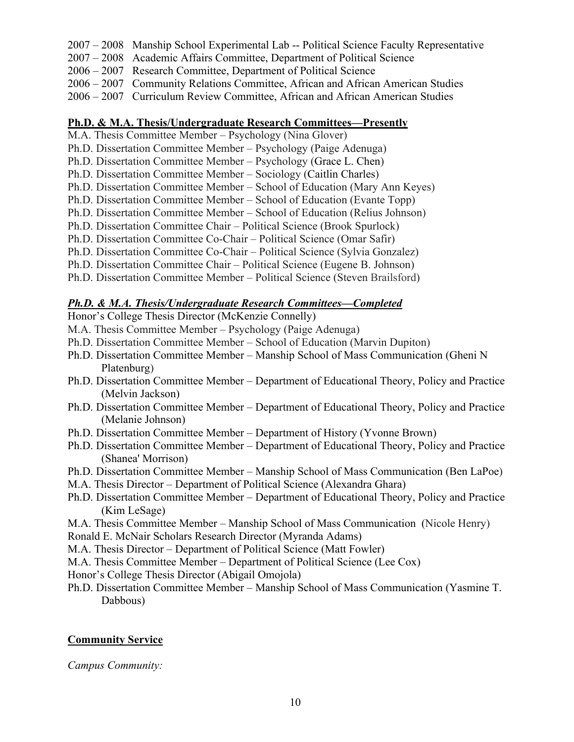- 2007 2008 Manship School Experimental Lab -- Political Science Faculty Representative
- 2007 2008 Academic Affairs Committee, Department of Political Science
- 2006 2007 Research Committee, Department of Political Science
- 2006 2007 Community Relations Committee, African and African American Studies
- 2006 2007 Curriculum Review Committee, African and African American Studies

#### **Ph.D. & M.A. Thesis/Undergraduate Research Committees—Presently**

- M.A. Thesis Committee Member Psychology (Nina Glover)
- Ph.D. Dissertation Committee Member Psychology (Paige Adenuga)
- Ph.D. Dissertation Committee Member Psychology (Grace L. Chen)
- Ph.D. Dissertation Committee Member Sociology (Caitlin Charles)
- Ph.D. Dissertation Committee Member School of Education (Mary Ann Keyes)
- Ph.D. Dissertation Committee Member School of Education (Evante Topp)
- Ph.D. Dissertation Committee Member School of Education (Relius Johnson)
- Ph.D. Dissertation Committee Chair Political Science (Brook Spurlock)
- Ph.D. Dissertation Committee Co-Chair Political Science (Omar Safir)
- Ph.D. Dissertation Committee Co-Chair Political Science (Sylvia Gonzalez)
- Ph.D. Dissertation Committee Chair Political Science (Eugene B. Johnson)
- Ph.D. Dissertation Committee Member Political Science (Steven Brailsford)

# *Ph.D. & M.A. Thesis/Undergraduate Research Committees—Completed*

Honor's College Thesis Director (McKenzie Connelly)

- M.A. Thesis Committee Member Psychology (Paige Adenuga)
- Ph.D. Dissertation Committee Member School of Education (Marvin Dupiton)
- Ph.D. Dissertation Committee Member Manship School of Mass Communication (Gheni N Platenburg)
- Ph.D. Dissertation Committee Member Department of Educational Theory, Policy and Practice (Melvin Jackson)
- Ph.D. Dissertation Committee Member Department of Educational Theory, Policy and Practice (Melanie Johnson)
- Ph.D. Dissertation Committee Member Department of History (Yvonne Brown)
- Ph.D. Dissertation Committee Member Department of Educational Theory, Policy and Practice (Shanea' Morrison)
- Ph.D. Dissertation Committee Member Manship School of Mass Communication (Ben LaPoe)
- M.A. Thesis Director Department of Political Science (Alexandra Ghara)
- Ph.D. Dissertation Committee Member Department of Educational Theory, Policy and Practice (Kim LeSage)

M.A. Thesis Committee Member – Manship School of Mass Communication (Nicole Henry) Ronald E. McNair Scholars Research Director (Myranda Adams)

M.A. Thesis Director – Department of Political Science (Matt Fowler)

- M.A. Thesis Committee Member Department of Political Science (Lee Cox)
- Honor's College Thesis Director (Abigail Omojola)
- Ph.D. Dissertation Committee Member Manship School of Mass Communication (Yasmine T. Dabbous)

# **Community Service**

*Campus Community:*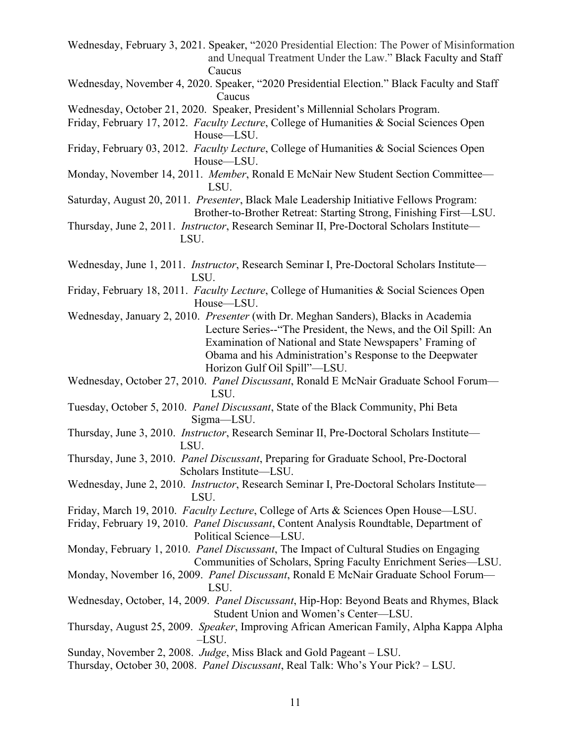- Wednesday, February 3, 2021. Speaker, "2020 Presidential Election: The Power of Misinformation and Unequal Treatment Under the Law." Black Faculty and Staff Caucus
- Wednesday, November 4, 2020. Speaker, "2020 Presidential Election." Black Faculty and Staff Caucus
- Wednesday, October 21, 2020. Speaker, President's Millennial Scholars Program.
- Friday, February 17, 2012. *Faculty Lecture*, College of Humanities & Social Sciences Open House—LSU.
- Friday, February 03, 2012. *Faculty Lecture*, College of Humanities & Social Sciences Open House—LSU.
- Monday, November 14, 2011. *Member*, Ronald E McNair New Student Section Committee— LSU.
- Saturday, August 20, 2011. *Presenter*, Black Male Leadership Initiative Fellows Program: Brother-to-Brother Retreat: Starting Strong, Finishing First—LSU.
- Thursday, June 2, 2011. *Instructor*, Research Seminar II, Pre-Doctoral Scholars Institute— LSU.

Wednesday, June 1, 2011. *Instructor*, Research Seminar I, Pre-Doctoral Scholars Institute— LSU.

- Friday, February 18, 2011. *Faculty Lecture*, College of Humanities & Social Sciences Open House—LSU.
- Wednesday, January 2, 2010. *Presenter* (with Dr. Meghan Sanders), Blacks in Academia Lecture Series--"The President, the News, and the Oil Spill: An Examination of National and State Newspapers' Framing of Obama and his Administration's Response to the Deepwater Horizon Gulf Oil Spill"—LSU.
- Wednesday, October 27, 2010. *Panel Discussant*, Ronald E McNair Graduate School Forum— LSU.
- Tuesday, October 5, 2010. *Panel Discussant*, State of the Black Community, Phi Beta Sigma—LSU.
- Thursday, June 3, 2010. *Instructor*, Research Seminar II, Pre-Doctoral Scholars Institute— LSU.
- Thursday, June 3, 2010. *Panel Discussant*, Preparing for Graduate School, Pre-Doctoral Scholars Institute—LSU.
- Wednesday, June 2, 2010. *Instructor*, Research Seminar I, Pre-Doctoral Scholars Institute— LSU.
- Friday, March 19, 2010. *Faculty Lecture*, College of Arts & Sciences Open House—LSU.

Friday, February 19, 2010. *Panel Discussant*, Content Analysis Roundtable, Department of Political Science—LSU.

Monday, February 1, 2010. *Panel Discussant*, The Impact of Cultural Studies on Engaging Communities of Scholars, Spring Faculty Enrichment Series—LSU.

- Monday, November 16, 2009. *Panel Discussant*, Ronald E McNair Graduate School Forum— LSU.
- Wednesday, October, 14, 2009. *Panel Discussant*, Hip-Hop: Beyond Beats and Rhymes, Black Student Union and Women's Center—LSU.
- Thursday, August 25, 2009. *Speaker*, Improving African American Family, Alpha Kappa Alpha –LSU.
- Sunday, November 2, 2008. *Judge*, Miss Black and Gold Pageant LSU.
- Thursday, October 30, 2008. *Panel Discussant*, Real Talk: Who's Your Pick? LSU.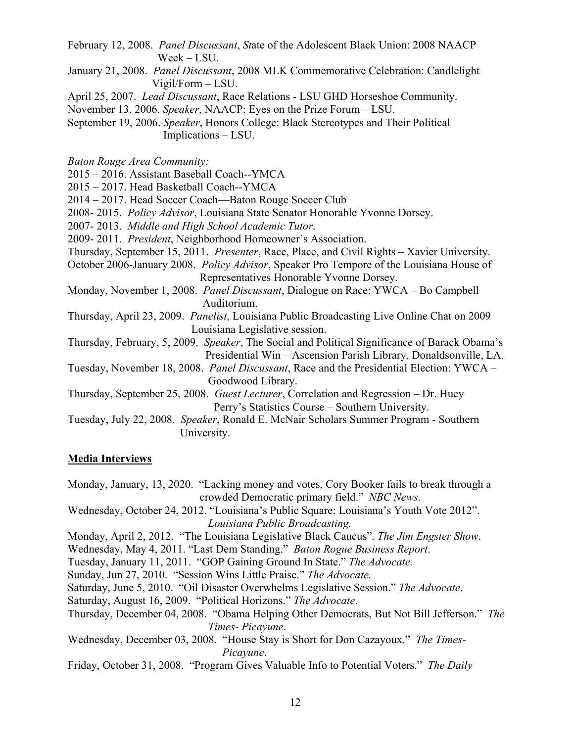- February 12, 2008. *Panel Discussant*, *St*ate of the Adolescent Black Union: 2008 NAACP Week LSU.
- January 21, 2008. *Panel Discussant*, 2008 MLK Commemorative Celebration: Candlelight Vigil/Form LSU.
- April 25, 2007. *Lead Discussant*, Race Relations LSU GHD Horseshoe Community.
- November 13, 2006. *Speaker*, NAACP: Eyes on the Prize Forum LSU.
- September 19, 2006. *Speaker*, Honors College: Black Stereotypes and Their Political Implications LSU.
- *Baton Rouge Area Community:*
- 2015 2016. Assistant Baseball Coach--YMCA
- 2015 2017. Head Basketball Coach--YMCA
- 2014 2017. Head Soccer Coach—Baton Rouge Soccer Club
- 2008- 2015. *Policy Advisor*, Louisiana State Senator Honorable Yvonne Dorsey.
- 2007- 2013. *Middle and High School Academic Tutor*.
- 2009- 2011. *President*, Neighborhood Homeowner's Association.
- Thursday, September 15, 2011. *Presenter*, Race, Place, and Civil Rights Xavier University.
- October 2006-January 2008. *Policy Advisor*, Speaker Pro Tempore of the Louisiana House of Representatives Honorable Yvonne Dorsey.
- Monday, November 1, 2008. *Panel Discussant*, Dialogue on Race: YWCA Bo Campbell Auditorium.
- Thursday, April 23, 2009. *Panelist*, Louisiana Public Broadcasting Live Online Chat on 2009 Louisiana Legislative session.
- Thursday, February, 5, 2009. *Speaker*, The Social and Political Significance of Barack Obama's Presidential Win Ascension Parish Library, Donaldsonville, LA.
- Tuesday, November 18, 2008. *Panel Discussant*, Race and the Presidential Election: YWCA Goodwood Library.
- Thursday, September 25, 2008. *Guest Lecturer*, Correlation and Regression Dr. Huey Perry's Statistics Course – Southern University.
- Tuesday, July 22, 2008. *Speaker*, Ronald E. McNair Scholars Summer Program Southern University.

#### **Media Interviews**

- Monday, January, 13, 2020. "Lacking money and votes, Cory Booker fails to break through a crowded Democratic primary field." *NBC News*.
- Wednesday, October 24, 2012. "Louisiana's Public Square: Louisiana's Youth Vote 2012". *Louisiana Public Broadcasting.*
- Monday, April 2, 2012. "The Louisiana Legislative Black Caucus". *The Jim Engster Show*.
- Wednesday, May 4, 2011. "Last Dem Standing." *Baton Rogue Business Report*.
- Tuesday, January 11, 2011. "GOP Gaining Ground In State." *The Advocate.*
- Sunday, Jun 27, 2010. "Session Wins Little Praise." *The Advocate.*
- Saturday, June 5, 2010. "Oil Disaster Overwhelms Legislative Session." *The Advocate*.
- Saturday, August 16, 2009. "Political Horizons." *The Advocate*.
- Thursday, December 04, 2008. "Obama Helping Other Democrats, But Not Bill Jefferson." *The Times- Picayune*.
- Wednesday, December 03, 2008. "House Stay is Short for Don Cazayoux." *The Times-Picayune*.
- Friday, October 31, 2008. "Program Gives Valuable Info to Potential Voters." *The Daily*